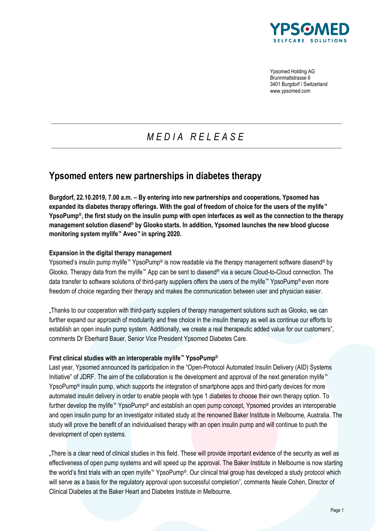

Ypsomed Holding AG Brunnmattstrasse 6 3401 Burgdorf / Switzerland www.ypsomed.com

# *M E D I A R E L E A S E*  $\_$  ,  $\_$  ,  $\_$  ,  $\_$  ,  $\_$  ,  $\_$  ,  $\_$  ,  $\_$  ,  $\_$  ,  $\_$  ,  $\_$  ,  $\_$  ,  $\_$  ,  $\_$  ,  $\_$  ,  $\_$  ,  $\_$  ,  $\_$  ,  $\_$  ,  $\_$  ,  $\_$  ,  $\_$  ,  $\_$  ,  $\_$  ,  $\_$  ,  $\_$  ,  $\_$  ,  $\_$  ,  $\_$  ,  $\_$  ,  $\_$  ,  $\_$  ,  $\_$  ,  $\_$  ,  $\_$  ,  $\_$  ,  $\_$  ,

 $\_$  ,  $\_$  ,  $\_$  ,  $\_$  ,  $\_$  ,  $\_$  ,  $\_$  ,  $\_$  ,  $\_$  ,  $\_$  ,  $\_$  ,  $\_$  ,  $\_$  ,  $\_$  ,  $\_$  ,  $\_$  ,  $\_$  ,  $\_$  ,  $\_$  ,  $\_$  ,  $\_$  ,  $\_$  ,  $\_$  ,  $\_$  ,  $\_$  ,  $\_$  ,  $\_$  ,  $\_$  ,  $\_$  ,  $\_$  ,  $\_$  ,  $\_$  ,  $\_$  ,  $\_$  ,  $\_$  ,  $\_$  ,  $\_$  ,

# **Ypsomed enters new partnerships in diabetes therapy**

**Burgdorf, 22.10.2019, 7.00 a.m. – By entering into new partnerships and cooperations, Ypsomed has expanded its diabetes therapy offerings. With the goal of freedom of choice for the users of the mylife™ YpsoPump®, the first study on the insulin pump with open interfaces as well as the connection to the therapy management solution diasend® by Glooko starts. In addition, Ypsomed launches the new blood glucose monitoring system mylife™ Aveo™ in spring 2020.** 

## **Expansion in the digital therapy management**

Ypsomed's insulin pump mylife™ YpsoPump® is now readable via the therapy management software diasend® by Glooko. Therapy data from the mylife™ App can be sent to diasend® via a secure Cloud-to-Cloud connection. The data transfer to software solutions of third-party suppliers offers the users of the mylife™ YpsoPump® even more freedom of choice regarding their therapy and makes the communication between user and physician easier.

"Thanks to our cooperation with third-party suppliers of therapy management solutions such as Glooko, we can further expand our approach of modularity and free choice in the insulin therapy as well as continue our efforts to establish an open insulin pump system. Additionally, we create a real therapeutic added value for our customers", comments Dr Eberhard Bauer, Senior Vice President Ypsomed Diabetes Care.

#### **First clinical studies with an interoperable mylife™ YpsoPump®**

Last year, Ypsomed announced its participation in the "Open-Protocol Automated Insulin Delivery (AID) Systems Initiative" of JDRF. The aim of the collaboration is the development and approval of the next generation mylife™ YpsoPump® insulin pump, which supports the integration of smartphone apps and third-party devices for more automated insulin delivery in order to enable people with type 1 diabetes to choose their own therapy option. To further develop the mylife™ YpsoPump® and establish an open pump concept, Ypsomed provides an interoperable and open insulin pump for an investigator initiated study at the renowned Baker Institute in Melbourne, Australia. The study will prove the benefit of an individualised therapy with an open insulin pump and will continue to push the development of open systems.

"There is a clear need of clinical studies in this field. These will provide important evidence of the security as well as effectiveness of open pump systems and will speed up the approval. The Baker Institute in Melbourne is now starting the world's first trials with an open mylife™ YpsoPump®. Our clinical trial group has developed a study protocol which will serve as a basis for the regulatory approval upon successful completion", comments Neale Cohen, Director of Clinical Diabetes at the Baker Heart and Diabetes Institute in Melbourne.